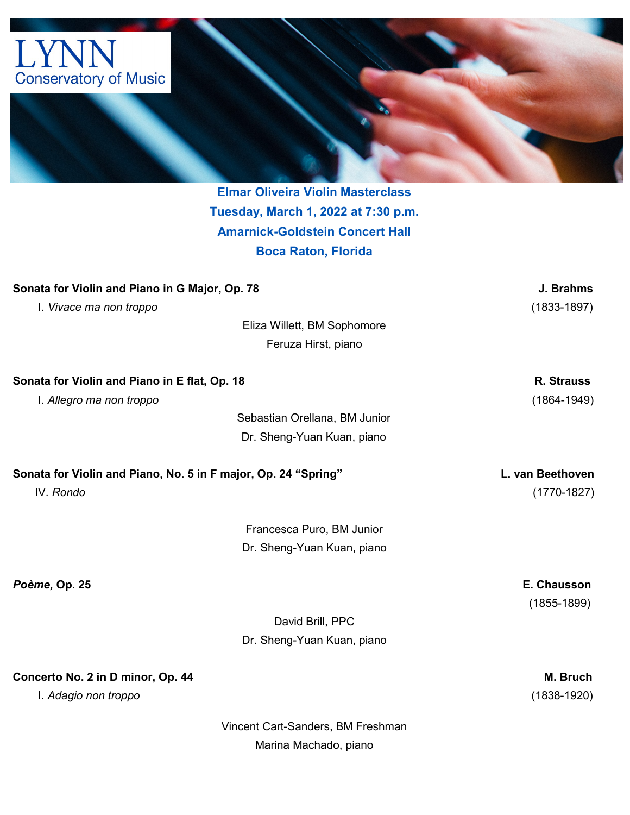

**Elmar Oliveira Violin Masterclass Tuesday, March 1, 2022 at 7:30 p.m. Amarnick-Goldstein Concert Hall Boca Raton, Florida**

| Sonata for Violin and Piano in G Major, Op. 78                 |                               | J. Brahms        |
|----------------------------------------------------------------|-------------------------------|------------------|
| I. Vivace ma non troppo                                        |                               | $(1833 - 1897)$  |
| Eliza Willett, BM Sophomore                                    |                               |                  |
|                                                                | Feruza Hirst, piano           |                  |
| Sonata for Violin and Piano in E flat, Op. 18                  |                               | R. Strauss       |
| I. Allegro ma non troppo                                       |                               | $(1864 - 1949)$  |
|                                                                | Sebastian Orellana, BM Junior |                  |
|                                                                | Dr. Sheng-Yuan Kuan, piano    |                  |
| Sonata for Violin and Piano, No. 5 in F major, Op. 24 "Spring" |                               | L. van Beethoven |
| IV. Rondo                                                      |                               | $(1770-1827)$    |
|                                                                | Francesca Puro, BM Junior     |                  |
|                                                                | Dr. Sheng-Yuan Kuan, piano    |                  |
| Poème, Op. 25                                                  |                               | E. Chausson      |
|                                                                |                               | $(1855 - 1899)$  |
|                                                                | David Brill, PPC              |                  |
|                                                                | Dr. Sheng-Yuan Kuan, piano    |                  |
| Concerto No. 2 in D minor, Op. 44                              |                               | M. Bruch         |
| I. Adagio non troppo                                           |                               | $(1838 - 1920)$  |

Vincent Cart-Sanders, BM Freshman Marina Machado, piano